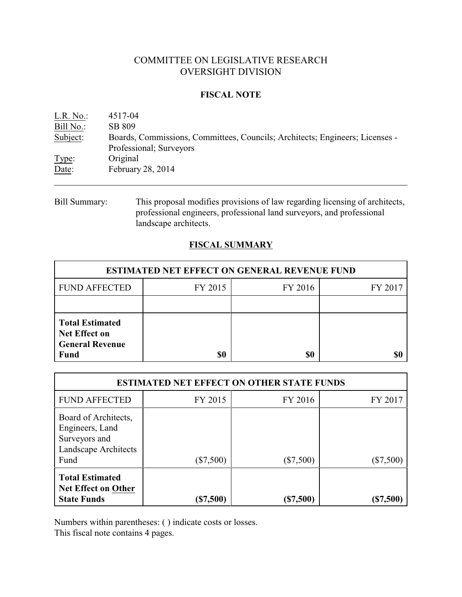# COMMITTEE ON LEGISLATIVE RESEARCH OVERSIGHT DIVISION

## **FISCAL NOTE**

| L.R. No.  | 4517-04                                                                                                 |
|-----------|---------------------------------------------------------------------------------------------------------|
| Bill No.: | SB 809                                                                                                  |
| Subject:  | Boards, Commissions, Committees, Councils; Architects; Engineers; Licenses -<br>Professional; Surveyors |
| Type:     | Original                                                                                                |
|           | February 28, 2014                                                                                       |
| Date:     |                                                                                                         |

Bill Summary: This proposal modifies provisions of law regarding licensing of architects, professional engineers, professional land surveyors, and professional landscape architects.

## **FISCAL SUMMARY**

| <b>ESTIMATED NET EFFECT ON GENERAL REVENUE FUND</b>                                     |         |         |         |  |  |
|-----------------------------------------------------------------------------------------|---------|---------|---------|--|--|
| <b>FUND AFFECTED</b>                                                                    | FY 2015 | FY 2016 | FY 2017 |  |  |
|                                                                                         |         |         |         |  |  |
| <b>Total Estimated</b><br><b>Net Effect on</b><br><b>General Revenue</b><br><b>Fund</b> | \$0     | \$0     |         |  |  |

| <b>ESTIMATED NET EFFECT ON OTHER STATE FUNDS</b>                                         |             |             |           |  |  |
|------------------------------------------------------------------------------------------|-------------|-------------|-----------|--|--|
| <b>FUND AFFECTED</b>                                                                     | FY 2015     | FY 2016     | FY 2017   |  |  |
| Board of Architects,<br>Engineers, Land<br>Surveyors and<br>Landscape Architects<br>Fund | $(\$7,500)$ | $(\$7,500)$ | (\$7,500) |  |  |
| <b>Total Estimated</b><br><b>Net Effect on Other</b><br><b>State Funds</b>               | (\$7,500)   | (\$7,500)   | (\$7,500) |  |  |

Numbers within parentheses: ( ) indicate costs or losses.

This fiscal note contains 4 pages.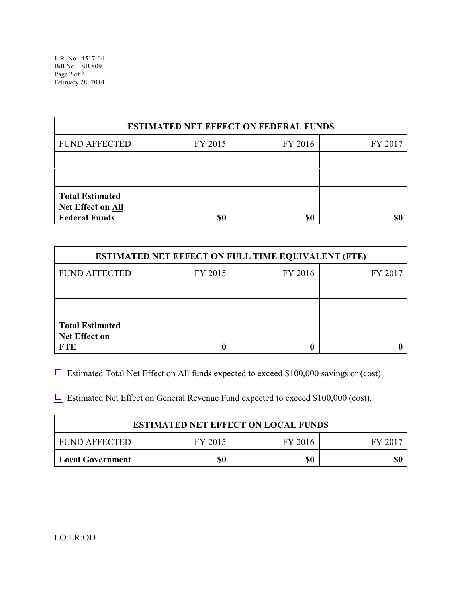L.R. No. 4517-04 Bill No. SB 809 Page 2 of 4 February 28, 2014

| <b>ESTIMATED NET EFFECT ON FEDERAL FUNDS</b>                               |         |         |         |  |  |
|----------------------------------------------------------------------------|---------|---------|---------|--|--|
| <b>FUND AFFECTED</b>                                                       | FY 2015 | FY 2016 | FY 2017 |  |  |
|                                                                            |         |         |         |  |  |
|                                                                            |         |         |         |  |  |
| <b>Total Estimated</b><br><b>Net Effect on All</b><br><b>Federal Funds</b> | \$0     | \$0     |         |  |  |

| <b>ESTIMATED NET EFFECT ON FULL TIME EQUIVALENT (FTE)</b>    |         |         |         |  |  |
|--------------------------------------------------------------|---------|---------|---------|--|--|
| <b>FUND AFFECTED</b>                                         | FY 2015 | FY 2016 | FY 2017 |  |  |
|                                                              |         |         |         |  |  |
|                                                              |         |         |         |  |  |
| <b>Total Estimated</b><br><b>Net Effect on</b><br><b>FTE</b> |         |         |         |  |  |

 $\Box$  Estimated Total Net Effect on All funds expected to exceed \$100,000 savings or (cost).

 $\Box$  Estimated Net Effect on General Revenue Fund expected to exceed \$100,000 (cost).

| <b>ESTIMATED NET EFFECT ON LOCAL FUNDS</b>      |  |     |     |  |  |
|-------------------------------------------------|--|-----|-----|--|--|
| FUND AFFECTED<br>FY 2016<br>FY 2015<br>- FY 207 |  |     |     |  |  |
| \$0<br><b>Local Government</b>                  |  | \$0 | \$0 |  |  |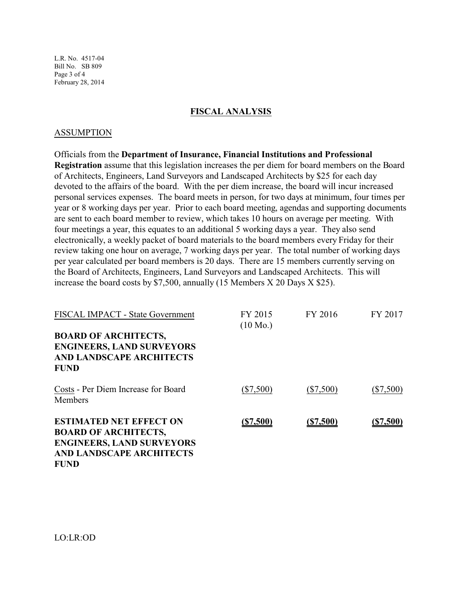L.R. No. 4517-04 Bill No. SB 809 Page 3 of 4 February 28, 2014

#### **FISCAL ANALYSIS**

#### ASSUMPTION

Officials from the **Department of Insurance, Financial Institutions and Professional Registration** assume that this legislation increases the per diem for board members on the Board of Architects, Engineers, Land Surveyors and Landscaped Architects by \$25 for each day devoted to the affairs of the board. With the per diem increase, the board will incur increased personal services expenses. The board meets in person, for two days at minimum, four times per year or 8 working days per year. Prior to each board meeting, agendas and supporting documents are sent to each board member to review, which takes 10 hours on average per meeting. With four meetings a year, this equates to an additional 5 working days a year. They also send electronically, a weekly packet of board materials to the board members every Friday for their review taking one hour on average, 7 working days per year. The total number of working days per year calculated per board members is 20 days. There are 15 members currently serving on the Board of Architects, Engineers, Land Surveyors and Landscaped Architects. This will increase the board costs by \$7,500, annually (15 Members X 20 Days X \$25).

| <b>FISCAL IMPACT - State Government</b>                                                                                                             | FY 2015<br>$(10 \text{ Mo.})$ | FY 2016     | FY 2017     |
|-----------------------------------------------------------------------------------------------------------------------------------------------------|-------------------------------|-------------|-------------|
| <b>BOARD OF ARCHITECTS,</b><br><b>ENGINEERS, LAND SURVEYORS</b><br><b>AND LANDSCAPE ARCHITECTS</b><br><b>FUND</b>                                   |                               |             |             |
| Costs - Per Diem Increase for Board<br>Members                                                                                                      | $(\$7,500)$                   | $(\$7,500)$ | $(\$7,500)$ |
| <b>ESTIMATED NET EFFECT ON</b><br><b>BOARD OF ARCHITECTS,</b><br><b>ENGINEERS, LAND SURVEYORS</b><br><b>AND LANDSCAPE ARCHITECTS</b><br><b>FUND</b> | (\$7,500)                     | (S7,500)    | (\$7,500)   |

LO:LR:OD